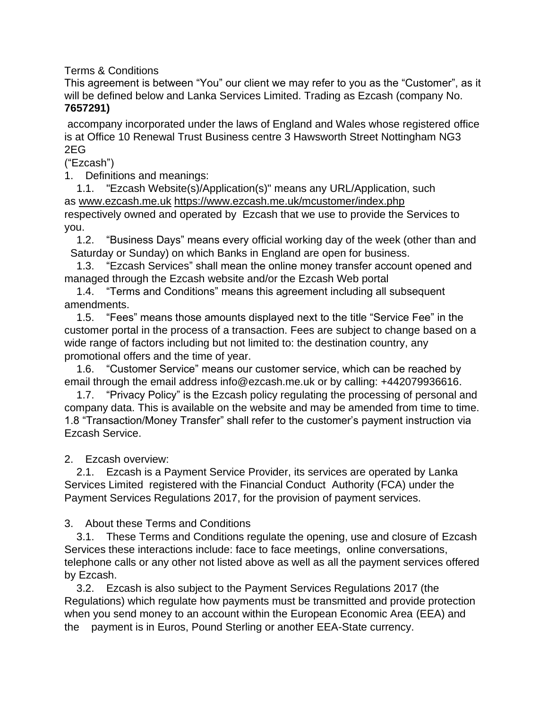Terms & Conditions

This agreement is between "You" our client we may refer to you as the "Customer", as it will be defined below and Lanka Services Limited. Trading as Ezcash (company No. **7657291)**

accompany incorporated under the laws of England and Wales whose registered office is at Office 10 Renewal Trust Business centre 3 Hawsworth Street Nottingham NG3 2EG

("Ezcash")

1. Definitions and meanings:

 1.1. "Ezcash Website(s)/Application(s)" means any URL/Application, such as [www.ezcash.me.uk](http://www.ezcash.me.uk/) <https://www.ezcash.me.uk/mcustomer/index.php>

respectively owned and operated by Ezcash that we use to provide the Services to you.

 1.2. "Business Days" means every official working day of the week (other than and Saturday or Sunday) on which Banks in England are open for business.

 1.3. "Ezcash Services" shall mean the online money transfer account opened and managed through the Ezcash website and/or the Ezcash Web portal

 1.4. "Terms and Conditions" means this agreement including all subsequent amendments.

 1.5. "Fees" means those amounts displayed next to the title "Service Fee" in the customer portal in the process of a transaction. Fees are subject to change based on a wide range of factors including but not limited to: the destination country, any promotional offers and the time of year.

 1.6. "Customer Service" means our customer service, which can be reached by email through the email address info@ezcash.me.uk or by calling: [+442079936616.](tel:+442088660307)

 1.7. "Privacy Policy" is the Ezcash policy regulating the processing of personal and company data. This is available on the website and may be amended from time to time. 1.8 "Transaction/Money Transfer" shall refer to the customer's payment instruction via Ezcash Service.

2. Ezcash overview:

 2.1. Ezcash is a Payment Service Provider, its services are operated by Lanka Services Limited registered with the Financial Conduct Authority (FCA) under the Payment Services Regulations 2017, for the provision of payment services.

3. About these Terms and Conditions

 3.1. These Terms and Conditions regulate the opening, use and closure of Ezcash Services these interactions include: face to face meetings, online conversations, telephone calls or any other not listed above as well as all the payment services offered by Ezcash.

 3.2. Ezcash is also subject to the Payment Services Regulations 2017 (the Regulations) which regulate how payments must be transmitted and provide protection when you send money to an account within the European Economic Area (EEA) and the payment is in Euros, Pound Sterling or another EEA-State currency.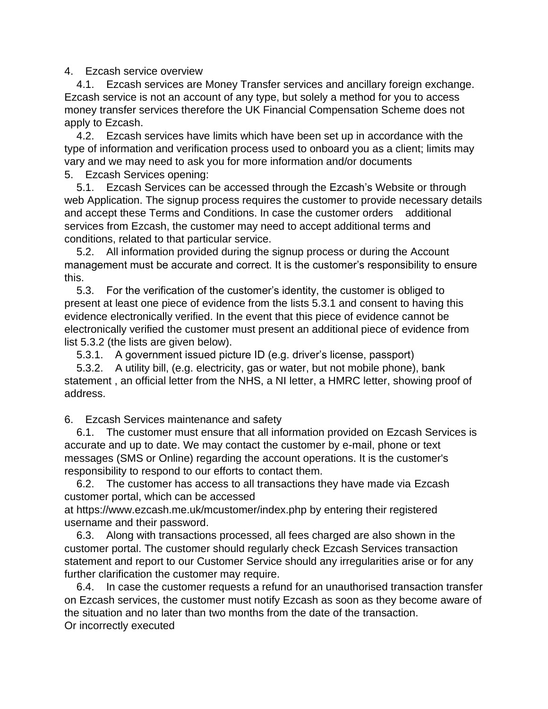## 4. Ezcash service overview

 4.1. Ezcash services are Money Transfer services and ancillary foreign exchange. Ezcash service is not an account of any type, but solely a method for you to access money transfer services therefore the UK Financial Compensation Scheme does not apply to Ezcash.

 4.2. Ezcash services have limits which have been set up in accordance with the type of information and verification process used to onboard you as a client; limits may vary and we may need to ask you for more information and/or documents 5. Ezcash Services opening:

 5.1. Ezcash Services can be accessed through the Ezcash's Website or through web Application. The signup process requires the customer to provide necessary details and accept these Terms and Conditions. In case the customer orders additional services from Ezcash, the customer may need to accept additional terms and conditions, related to that particular service.

 5.2. All information provided during the signup process or during the Account management must be accurate and correct. It is the customer's responsibility to ensure this.

 5.3. For the verification of the customer's identity, the customer is obliged to present at least one piece of evidence from the lists 5.3.1 and consent to having this evidence electronically verified. In the event that this piece of evidence cannot be electronically verified the customer must present an additional piece of evidence from list 5.3.2 (the lists are given below).

5.3.1. A government issued picture ID (e.g. driver's license, passport)

 5.3.2. A utility bill, (e.g. electricity, gas or water, but not mobile phone), bank statement , an official letter from the NHS, a NI letter, a HMRC letter, showing proof of address.

6. Ezcash Services maintenance and safety

 6.1. The customer must ensure that all information provided on Ezcash Services is accurate and up to date. We may contact the customer by e-mail, phone or text messages (SMS or Online) regarding the account operations. It is the customer's responsibility to respond to our efforts to contact them.

 6.2. The customer has access to all transactions they have made via Ezcash customer portal, which can be accessed

at https://www.ezcash.me.uk/mcustomer/index.php by entering their registered username and their password.

 6.3. Along with transactions processed, all fees charged are also shown in the customer portal. The customer should regularly check Ezcash Services transaction statement and report to our Customer Service should any irregularities arise or for any further clarification the customer may require.

 6.4. In case the customer requests a refund for an unauthorised transaction transfer on Ezcash services, the customer must notify Ezcash as soon as they become aware of the situation and no later than two months from the date of the transaction. Or incorrectly executed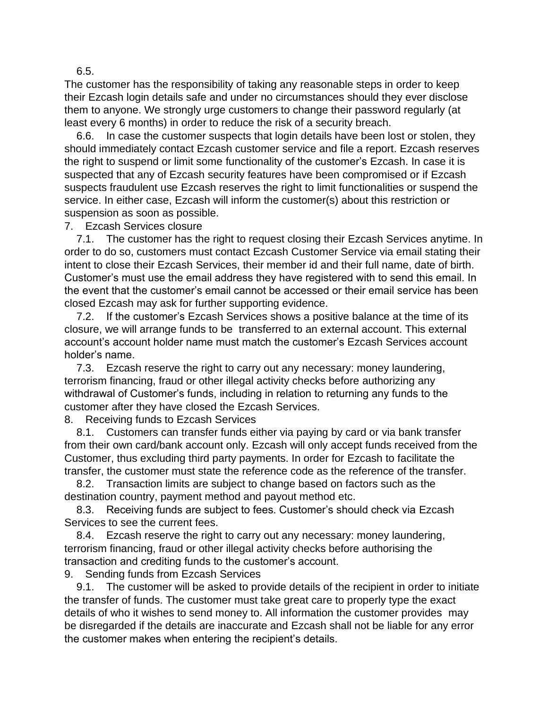6.5.

The customer has the responsibility of taking any reasonable steps in order to keep their Ezcash login details safe and under no circumstances should they ever disclose them to anyone. We strongly urge customers to change their password regularly (at least every 6 months) in order to reduce the risk of a security breach.

 6.6. In case the customer suspects that login details have been lost or stolen, they should immediately contact Ezcash customer service and file a report. Ezcash reserves the right to suspend or limit some functionality of the customer's Ezcash. In case it is suspected that any of Ezcash security features have been compromised or if Ezcash suspects fraudulent use Ezcash reserves the right to limit functionalities or suspend the service. In either case, Ezcash will inform the customer(s) about this restriction or suspension as soon as possible.

7. Ezcash Services closure

 7.1. The customer has the right to request closing their Ezcash Services anytime. In order to do so, customers must contact Ezcash Customer Service via email stating their intent to close their Ezcash Services, their member id and their full name, date of birth. Customer's must use the email address they have registered with to send this email. In the event that the customer's email cannot be accessed or their email service has been closed Ezcash may ask for further supporting evidence.

 7.2. If the customer's Ezcash Services shows a positive balance at the time of its closure, we will arrange funds to be transferred to an external account. This external account's account holder name must match the customer's Ezcash Services account holder's name.

 7.3. Ezcash reserve the right to carry out any necessary: money laundering, terrorism financing, fraud or other illegal activity checks before authorizing any withdrawal of Customer's funds, including in relation to returning any funds to the customer after they have closed the Ezcash Services.

8. Receiving funds to Ezcash Services

 8.1. Customers can transfer funds either via paying by card or via bank transfer from their own card/bank account only. Ezcash will only accept funds received from the Customer, thus excluding third party payments. In order for Ezcash to facilitate the transfer, the customer must state the reference code as the reference of the transfer.

 8.2. Transaction limits are subject to change based on factors such as the destination country, payment method and payout method etc.

 8.3. Receiving funds are subject to fees. Customer's should check via Ezcash Services to see the current fees.

 8.4. Ezcash reserve the right to carry out any necessary: money laundering, terrorism financing, fraud or other illegal activity checks before authorising the transaction and crediting funds to the customer's account.

9. Sending funds from Ezcash Services

 9.1. The customer will be asked to provide details of the recipient in order to initiate the transfer of funds. The customer must take great care to properly type the exact details of who it wishes to send money to. All information the customer provides may be disregarded if the details are inaccurate and Ezcash shall not be liable for any error the customer makes when entering the recipient's details.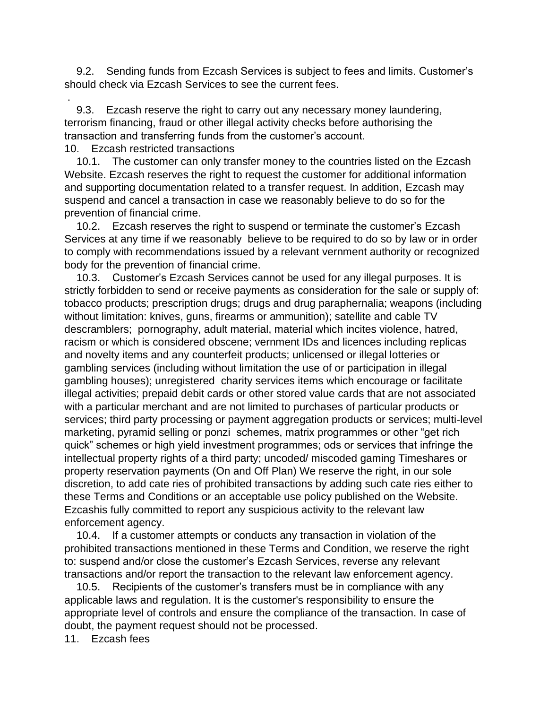9.2. Sending funds from Ezcash Services is subject to fees and limits. Customer's should check via Ezcash Services to see the current fees.

 9.3. Ezcash reserve the right to carry out any necessary money laundering, terrorism financing, fraud or other illegal activity checks before authorising the transaction and transferring funds from the customer's account.

10. Ezcash restricted transactions

.

 10.1. The customer can only transfer money to the countries listed on the Ezcash Website. Ezcash reserves the right to request the customer for additional information and supporting documentation related to a transfer request. In addition, Ezcash may suspend and cancel a transaction in case we reasonably believe to do so for the prevention of financial crime.

 10.2. Ezcash reserves the right to suspend or terminate the customer's Ezcash Services at any time if we reasonably believe to be required to do so by law or in order to comply with recommendations issued by a relevant vernment authority or recognized body for the prevention of financial crime.

 10.3. Customer's Ezcash Services cannot be used for any illegal purposes. It is strictly forbidden to send or receive payments as consideration for the sale or supply of: tobacco products; prescription drugs; drugs and drug paraphernalia; weapons (including without limitation: knives, guns, firearms or ammunition); satellite and cable TV descramblers; pornography, adult material, material which incites violence, hatred, racism or which is considered obscene; vernment IDs and licences including replicas and novelty items and any counterfeit products; unlicensed or illegal lotteries or gambling services (including without limitation the use of or participation in illegal gambling houses); unregistered charity services items which encourage or facilitate illegal activities; prepaid debit cards or other stored value cards that are not associated with a particular merchant and are not limited to purchases of particular products or services; third party processing or payment aggregation products or services; multi-level marketing, pyramid selling or ponzi schemes, matrix programmes or other "get rich quick" schemes or high yield investment programmes; ods or services that infringe the intellectual property rights of a third party; uncoded/ miscoded gaming Timeshares or property reservation payments (On and Off Plan) We reserve the right, in our sole discretion, to add cate ries of prohibited transactions by adding such cate ries either to these Terms and Conditions or an acceptable use policy published on the Website. Ezcashis fully committed to report any suspicious activity to the relevant law enforcement agency.

 10.4. If a customer attempts or conducts any transaction in violation of the prohibited transactions mentioned in these Terms and Condition, we reserve the right to: suspend and/or close the customer's Ezcash Services, reverse any relevant transactions and/or report the transaction to the relevant law enforcement agency.

 10.5. Recipients of the customer's transfers must be in compliance with any applicable laws and regulation. It is the customer's responsibility to ensure the appropriate level of controls and ensure the compliance of the transaction. In case of doubt, the payment request should not be processed.

11. Ezcash fees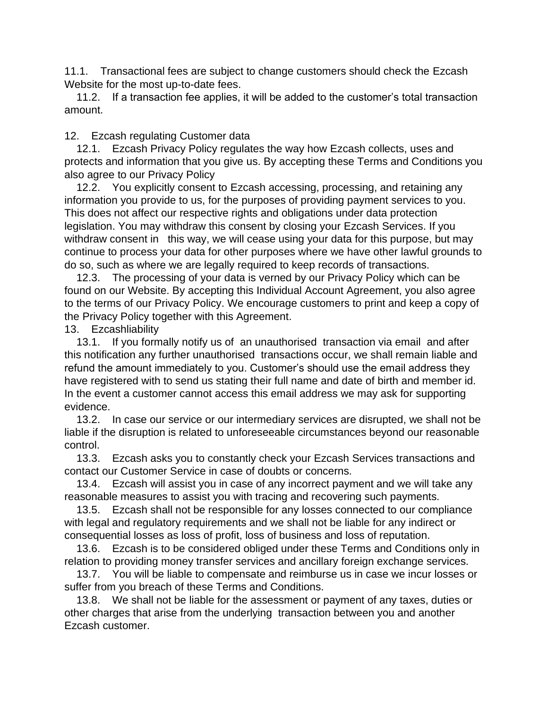11.1. Transactional fees are subject to change customers should check the Ezcash Website for the most up-to-date fees.

 11.2. If a transaction fee applies, it will be added to the customer's total transaction amount.

12. Ezcash regulating Customer data

 12.1. Ezcash Privacy Policy regulates the way how Ezcash collects, uses and protects and information that you give us. By accepting these Terms and Conditions you also agree to our [Privacy Policy](https://imelondon.co.uk/Home/PrivacyPolicy)

 12.2. You explicitly consent to Ezcash accessing, processing, and retaining any information you provide to us, for the purposes of providing payment services to you. This does not affect our respective rights and obligations under data protection legislation. You may withdraw this consent by closing your Ezcash Services. If you withdraw consent in this way, we will cease using your data for this purpose, but may continue to process your data for other purposes where we have other lawful grounds to do so, such as where we are legally required to keep records of transactions.

 12.3. The processing of your data is verned by our Privacy Policy which can be found on our Website. By accepting this Individual Account Agreement, you also agree to the terms of our Privacy Policy. We encourage customers to print and keep a copy of the Privacy Policy together with this Agreement.

13. Ezcashliability

 13.1. If you formally notify us of an unauthorised transaction via email and after this notification any further unauthorised transactions occur, we shall remain liable and refund the amount immediately to you. Customer's should use the email address they have registered with to send us stating their full name and date of birth and member id. In the event a customer cannot access this email address we may ask for supporting evidence.

 13.2. In case our service or our intermediary services are disrupted, we shall not be liable if the disruption is related to unforeseeable circumstances beyond our reasonable control.

 13.3. Ezcash asks you to constantly check your Ezcash Services transactions and contact our Customer Service in case of doubts or concerns.

 13.4. Ezcash will assist you in case of any incorrect payment and we will take any reasonable measures to assist you with tracing and recovering such payments.

 13.5. Ezcash shall not be responsible for any losses connected to our compliance with legal and regulatory requirements and we shall not be liable for any indirect or consequential losses as loss of profit, loss of business and loss of reputation.

 13.6. Ezcash is to be considered obliged under these Terms and Conditions only in relation to providing money transfer services and ancillary foreign exchange services.

 13.7. You will be liable to compensate and reimburse us in case we incur losses or suffer from you breach of these Terms and Conditions.

 13.8. We shall not be liable for the assessment or payment of any taxes, duties or other charges that arise from the underlying transaction between you and another Ezcash customer.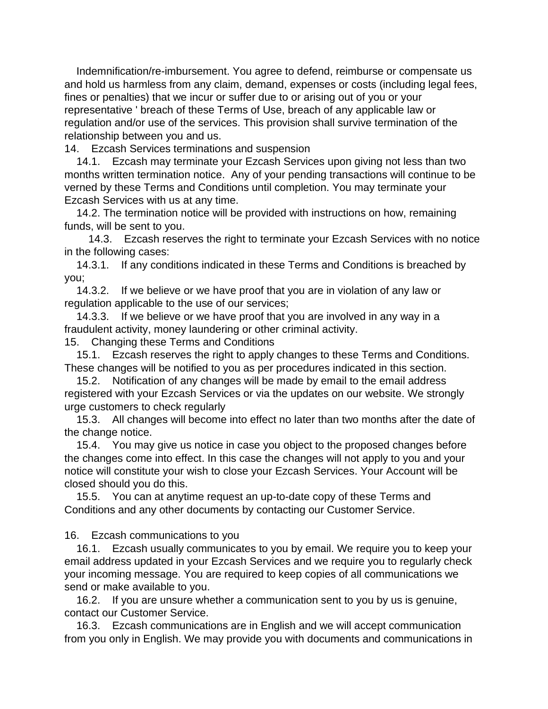Indemnification/re-imbursement. You agree to defend, reimburse or compensate us and hold us harmless from any claim, demand, expenses or costs (including legal fees, fines or penalties) that we incur or suffer due to or arising out of you or your representative ' breach of these Terms of Use, breach of any applicable law or regulation and/or use of the services. This provision shall survive termination of the relationship between you and us.

14. Ezcash Services terminations and suspension

 14.1. Ezcash may terminate your Ezcash Services upon giving not less than two months written termination notice. Any of your pending transactions will continue to be verned by these Terms and Conditions until completion. You may terminate your Ezcash Services with us at any time.

 14.2. The termination notice will be provided with instructions on how, remaining funds, will be sent to you.

 14.3. Ezcash reserves the right to terminate your Ezcash Services with no notice in the following cases:

 14.3.1. If any conditions indicated in these Terms and Conditions is breached by you;

 14.3.2. If we believe or we have proof that you are in violation of any law or regulation applicable to the use of our services;

 14.3.3. If we believe or we have proof that you are involved in any way in a fraudulent activity, money laundering or other criminal activity.

15. Changing these Terms and Conditions

 15.1. Ezcash reserves the right to apply changes to these Terms and Conditions. These changes will be notified to you as per procedures indicated in this section.

 15.2. Notification of any changes will be made by email to the email address registered with your Ezcash Services or via the updates on our website. We strongly urge customers to check regularly

 15.3. All changes will become into effect no later than two months after the date of the change notice.

 15.4. You may give us notice in case you object to the proposed changes before the changes come into effect. In this case the changes will not apply to you and your notice will constitute your wish to close your Ezcash Services. Your Account will be closed should you do this.

 15.5. You can at anytime request an up-to-date copy of these Terms and Conditions and any other documents by contacting our Customer Service.

16. Ezcash communications to you

 16.1. Ezcash usually communicates to you by email. We require you to keep your email address updated in your Ezcash Services and we require you to regularly check your incoming message. You are required to keep copies of all communications we send or make available to you.

 16.2. If you are unsure whether a communication sent to you by us is genuine, contact our Customer Service.

 16.3. Ezcash communications are in English and we will accept communication from you only in English. We may provide you with documents and communications in